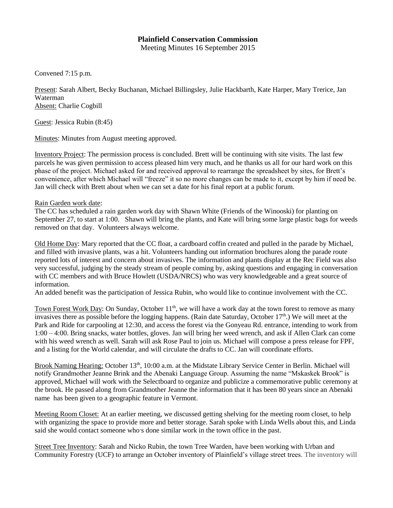## **Plainfield Conservation Commission**

Meeting Minutes 16 September 2015

Convened 7:15 p.m.

Present: Sarah Albert, Becky Buchanan, Michael Billingsley, Julie Hackbarth, Kate Harper, Mary Trerice, Jan Waterman Absent: Charlie Cogbill

Guest: Jessica Rubin (8:45)

Minutes: Minutes from August meeting approved.

Inventory Project: The permission process is concluded. Brett will be continuing with site visits. The last few parcels he was given permission to access pleased him very much, and he thanks us all for our hard work on this phase of the project. Michael asked for and received approval to rearrange the spreadsheet by sites, for Brett's convenience, after which Michael will "freeze" it so no more changes can be made to it, except by him if need be. Jan will check with Brett about when we can set a date for his final report at a public forum.

## Rain Garden work date:

The CC has scheduled a rain garden work day with Shawn White (Friends of the Winooski) for planting on September 27, to start at 1:00. Shawn will bring the plants, and Kate will bring some large plastic bags for weeds removed on that day. Volunteers always welcome.

Old Home Day: Mary reported that the CC float, a cardboard coffin created and pulled in the parade by Michael, and filled with invasive plants, was a hit. Volunteers handing out information brochures along the parade route reported lots of interest and concern about invasives. The information and plants display at the Rec Field was also very successful, judging by the steady stream of people coming by, asking questions and engaging in conversation with CC members and with Bruce Howlett (USDA/NRCS) who was very knowledgeable and a great source of information.

An added benefit was the participation of Jessica Rubin, who would like to continue involvement with the CC.

Town Forest Work Day: On Sunday, October 11<sup>th</sup>, we will have a work day at the town forest to remove as many invasives there as possible before the logging happens. (Rain date Saturday, October  $17<sup>th</sup>$ .) We will meet at the Park and Ride for carpooling at 12:30, and access the forest via the Gonyeau Rd. entrance, intending to work from 1:00 – 4:00. Bring snacks, water bottles, gloves. Jan will bring her weed wrench, and ask if Allen Clark can come with his weed wrench as well. Sarah will ask Rose Paul to join us. Michael will compose a press release for FPF, and a listing for the World calendar, and will circulate the drafts to CC. Jan will coordinate efforts.

Brook Naming Hearing: October 13<sup>th</sup>, 10:00 a.m. at the Midstate Library Service Center in Berlin. Michael will notify Grandmother Jeanne Brink and the Abenaki Language Group. Assuming the name "Mskaskek Brook" is approved, Michael will work with the Selectboard to organize and publicize a commemorative public ceremony at the brook. He passed along from Grandmother Jeanne the information that it has been 80 years since an Abenaki name has been given to a geographic feature in Vermont.

Meeting Room Closet: At an earlier meeting, we discussed getting shelving for the meeting room closet, to help with organizing the space to provide more and better storage. Sarah spoke with Linda Wells about this, and Linda said she would contact someone who's done similar work in the town office in the past.

Street Tree Inventory: Sarah and Nicko Rubin, the town Tree Warden, have been working with Urban and Community Forestry (UCF) to arrange an October inventory of Plainfield's village street trees. The inventory will